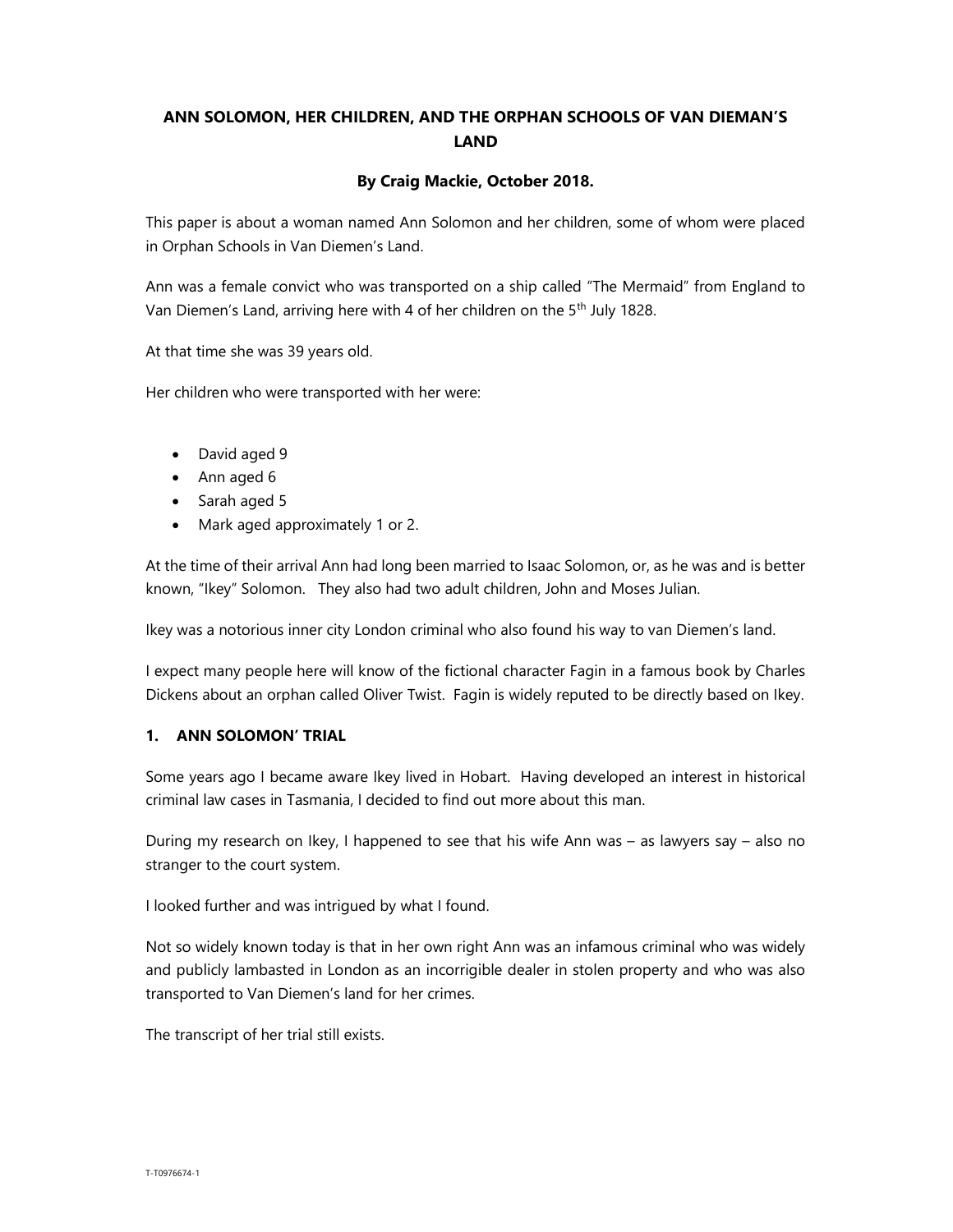# ANN SOLOMON, HER CHILDREN, AND THE ORPHAN SCHOOLS OF VAN DIEMAN'S LAND

### By Craig Mackie, October 2018.

This paper is about a woman named Ann Solomon and her children, some of whom were placed in Orphan Schools in Van Diemen's Land.

Ann was a female convict who was transported on a ship called "The Mermaid" from England to Van Diemen's Land, arriving here with 4 of her children on the 5<sup>th</sup> July 1828.

At that time she was 39 years old.

Her children who were transported with her were:

- David aged 9
- Ann aged 6
- Sarah aged 5
- Mark aged approximately 1 or 2.

At the time of their arrival Ann had long been married to Isaac Solomon, or, as he was and is better known, "Ikey" Solomon. They also had two adult children, John and Moses Julian.

Ikey was a notorious inner city London criminal who also found his way to van Diemen's land.

I expect many people here will know of the fictional character Fagin in a famous book by Charles Dickens about an orphan called Oliver Twist. Fagin is widely reputed to be directly based on Ikey.

### 1. ANN SOLOMON' TRIAL

Some years ago I became aware Ikey lived in Hobart. Having developed an interest in historical criminal law cases in Tasmania, I decided to find out more about this man.

During my research on Ikey, I happened to see that his wife Ann was – as lawyers say – also no stranger to the court system.

I looked further and was intrigued by what I found.

Not so widely known today is that in her own right Ann was an infamous criminal who was widely and publicly lambasted in London as an incorrigible dealer in stolen property and who was also transported to Van Diemen's land for her crimes.

The transcript of her trial still exists.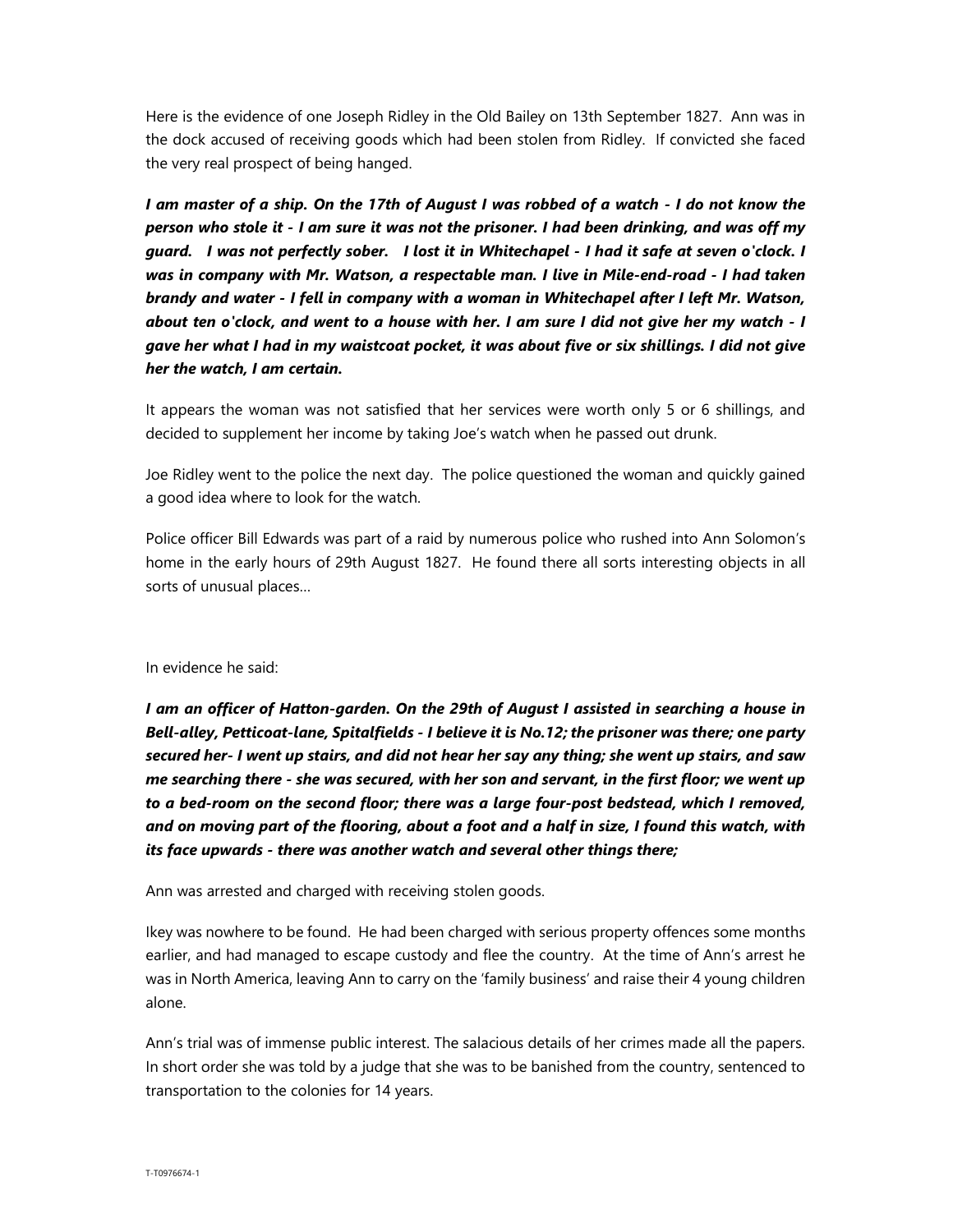Here is the evidence of one Joseph Ridley in the Old Bailey on 13th September 1827. Ann was in the dock accused of receiving goods which had been stolen from Ridley. If convicted she faced the very real prospect of being hanged.

I am master of a ship. On the 17th of August I was robbed of a watch - I do not know the person who stole it - I am sure it was not the prisoner. I had been drinking, and was off my guard. I was not perfectly sober. I lost it in Whitechapel - I had it safe at seven o'clock. I was in company with Mr. Watson, a respectable man. I live in Mile-end-road - I had taken brandy and water - I fell in company with a woman in Whitechapel after I left Mr. Watson, about ten o'clock, and went to a house with her. I am sure I did not give her my watch - I gave her what I had in my waistcoat pocket, it was about five or six shillings. I did not give her the watch, I am certain.

It appears the woman was not satisfied that her services were worth only 5 or 6 shillings, and decided to supplement her income by taking Joe's watch when he passed out drunk.

Joe Ridley went to the police the next day. The police questioned the woman and quickly gained a good idea where to look for the watch.

Police officer Bill Edwards was part of a raid by numerous police who rushed into Ann Solomon's home in the early hours of 29th August 1827. He found there all sorts interesting objects in all sorts of unusual places…

#### In evidence he said:

I am an officer of Hatton-garden. On the 29th of August I assisted in searching a house in Bell-alley, Petticoat-lane, Spitalfields - I believe it is No.12; the prisoner was there; one party secured her- I went up stairs, and did not hear her say any thing; she went up stairs, and saw me searching there - she was secured, with her son and servant, in the first floor; we went up to a bed-room on the second floor; there was a large four-post bedstead, which I removed, and on moving part of the flooring, about a foot and a half in size, I found this watch, with its face upwards - there was another watch and several other things there;

Ann was arrested and charged with receiving stolen goods.

Ikey was nowhere to be found. He had been charged with serious property offences some months earlier, and had managed to escape custody and flee the country. At the time of Ann's arrest he was in North America, leaving Ann to carry on the 'family business' and raise their 4 young children alone.

Ann's trial was of immense public interest. The salacious details of her crimes made all the papers. In short order she was told by a judge that she was to be banished from the country, sentenced to transportation to the colonies for 14 years.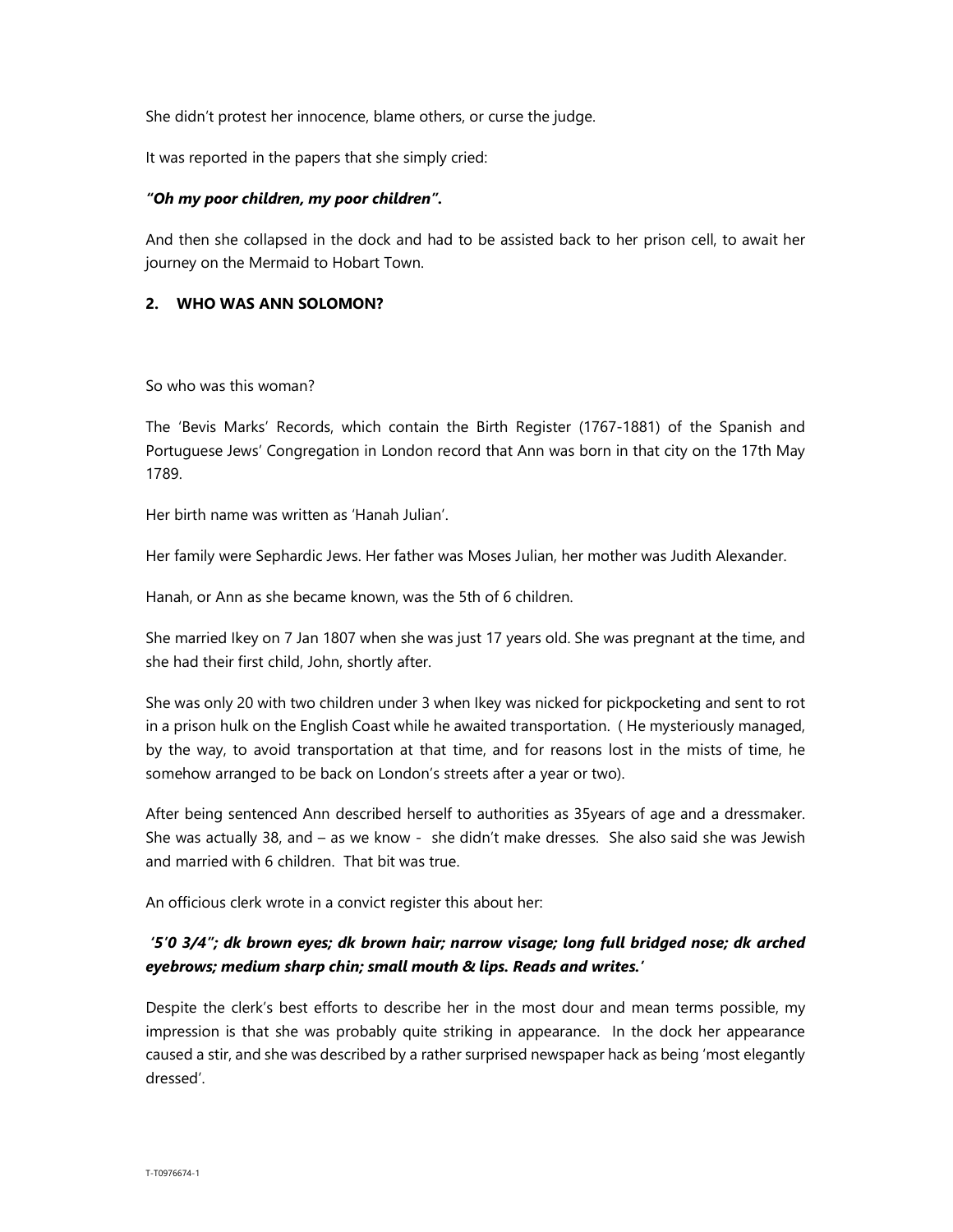She didn't protest her innocence, blame others, or curse the judge.

It was reported in the papers that she simply cried:

### "Oh my poor children, my poor children".

And then she collapsed in the dock and had to be assisted back to her prison cell, to await her journey on the Mermaid to Hobart Town.

#### 2. WHO WAS ANN SOLOMON?

So who was this woman?

The 'Bevis Marks' Records, which contain the Birth Register (1767-1881) of the Spanish and Portuguese Jews' Congregation in London record that Ann was born in that city on the 17th May 1789.

Her birth name was written as 'Hanah Julian'.

Her family were Sephardic Jews. Her father was Moses Julian, her mother was Judith Alexander.

Hanah, or Ann as she became known, was the 5th of 6 children.

She married Ikey on 7 Jan 1807 when she was just 17 years old. She was pregnant at the time, and she had their first child, John, shortly after.

She was only 20 with two children under 3 when Ikey was nicked for pickpocketing and sent to rot in a prison hulk on the English Coast while he awaited transportation. ( He mysteriously managed, by the way, to avoid transportation at that time, and for reasons lost in the mists of time, he somehow arranged to be back on London's streets after a year or two).

After being sentenced Ann described herself to authorities as 35years of age and a dressmaker. She was actually 38, and – as we know - she didn't make dresses. She also said she was Jewish and married with 6 children. That bit was true.

An officious clerk wrote in a convict register this about her:

## '5'0 3/4"; dk brown eyes; dk brown hair; narrow visage; long full bridged nose; dk arched eyebrows; medium sharp chin; small mouth & lips. Reads and writes.'

Despite the clerk's best efforts to describe her in the most dour and mean terms possible, my impression is that she was probably quite striking in appearance. In the dock her appearance caused a stir, and she was described by a rather surprised newspaper hack as being 'most elegantly dressed'.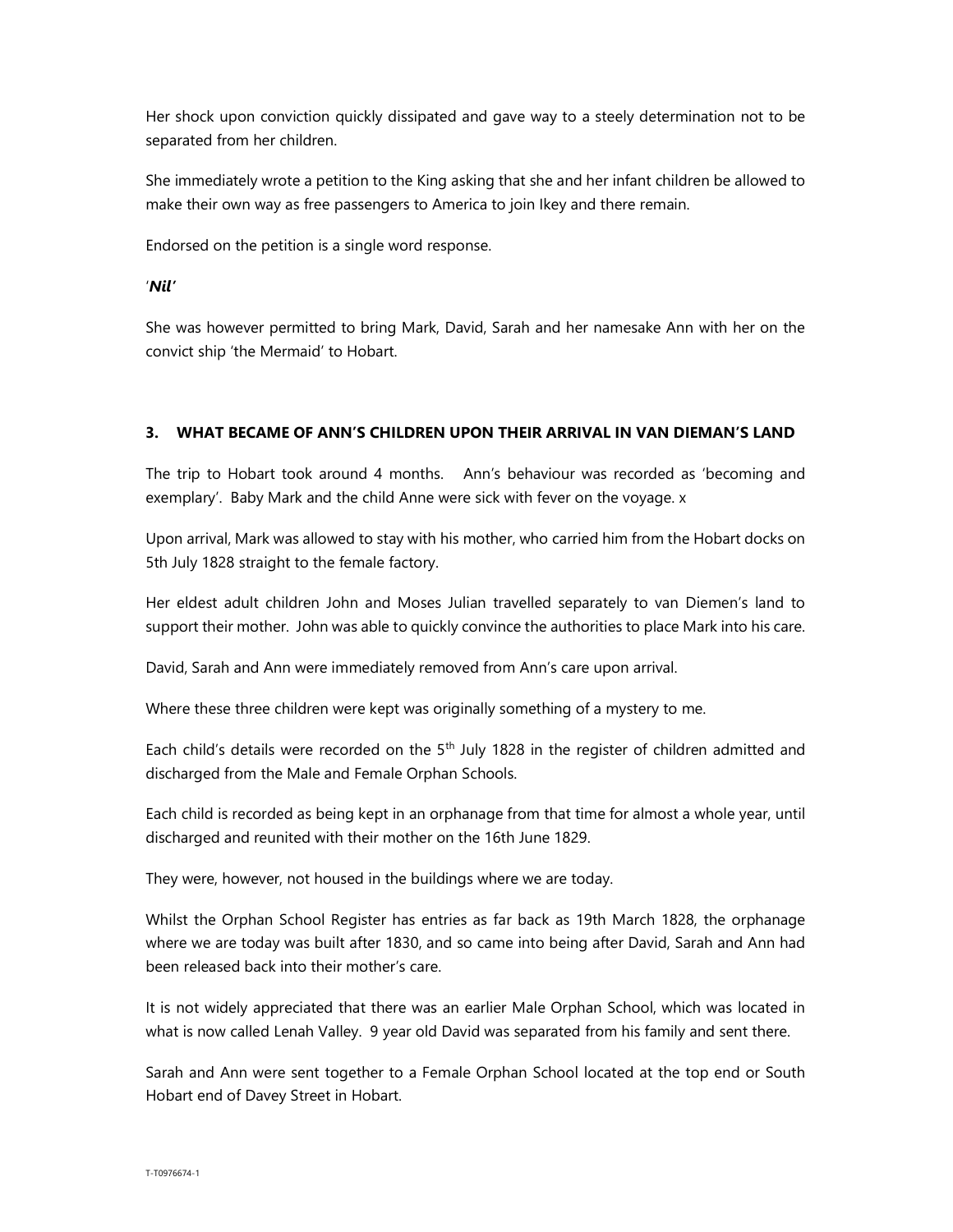Her shock upon conviction quickly dissipated and gave way to a steely determination not to be separated from her children.

She immediately wrote a petition to the King asking that she and her infant children be allowed to make their own way as free passengers to America to join Ikey and there remain.

Endorsed on the petition is a single word response.

#### 'Nil'

She was however permitted to bring Mark, David, Sarah and her namesake Ann with her on the convict ship 'the Mermaid' to Hobart.

#### 3. WHAT BECAME OF ANN'S CHILDREN UPON THEIR ARRIVAL IN VAN DIEMAN'S LAND

The trip to Hobart took around 4 months. Ann's behaviour was recorded as 'becoming and exemplary'. Baby Mark and the child Anne were sick with fever on the voyage. x

Upon arrival, Mark was allowed to stay with his mother, who carried him from the Hobart docks on 5th July 1828 straight to the female factory.

Her eldest adult children John and Moses Julian travelled separately to van Diemen's land to support their mother. John was able to quickly convince the authorities to place Mark into his care.

David, Sarah and Ann were immediately removed from Ann's care upon arrival.

Where these three children were kept was originally something of a mystery to me.

Each child's details were recorded on the  $5<sup>th</sup>$  July 1828 in the register of children admitted and discharged from the Male and Female Orphan Schools.

Each child is recorded as being kept in an orphanage from that time for almost a whole year, until discharged and reunited with their mother on the 16th June 1829.

They were, however, not housed in the buildings where we are today.

Whilst the Orphan School Register has entries as far back as 19th March 1828, the orphanage where we are today was built after 1830, and so came into being after David, Sarah and Ann had been released back into their mother's care.

It is not widely appreciated that there was an earlier Male Orphan School, which was located in what is now called Lenah Valley. 9 year old David was separated from his family and sent there.

Sarah and Ann were sent together to a Female Orphan School located at the top end or South Hobart end of Davey Street in Hobart.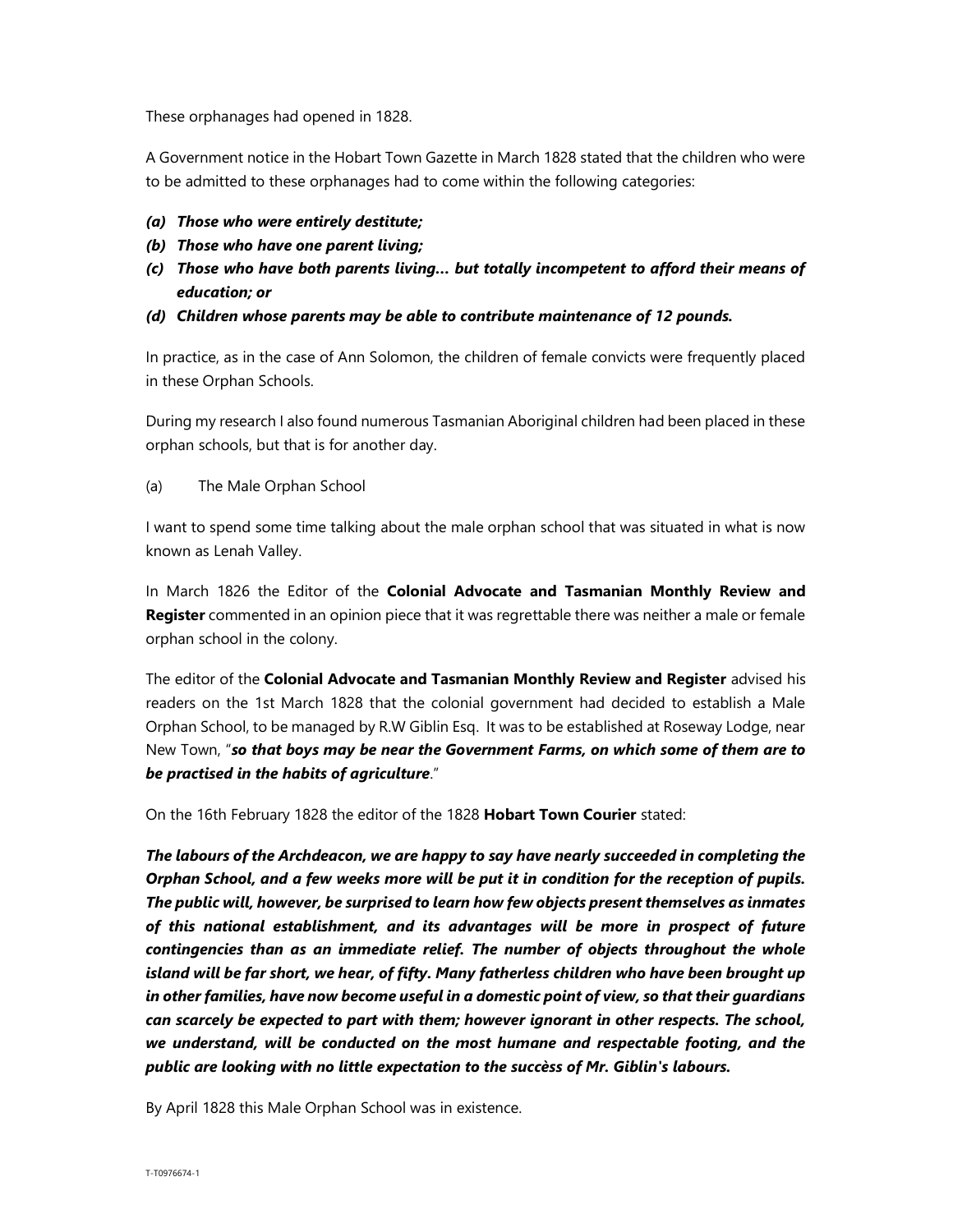These orphanages had opened in 1828.

A Government notice in the Hobart Town Gazette in March 1828 stated that the children who were to be admitted to these orphanages had to come within the following categories:

- (a) Those who were entirely destitute;
- (b) Those who have one parent living;
- (c) Those who have both parents living… but totally incompetent to afford their means of education; or
- (d) Children whose parents may be able to contribute maintenance of 12 pounds.

In practice, as in the case of Ann Solomon, the children of female convicts were frequently placed in these Orphan Schools.

During my research I also found numerous Tasmanian Aboriginal children had been placed in these orphan schools, but that is for another day.

(a) The Male Orphan School

I want to spend some time talking about the male orphan school that was situated in what is now known as Lenah Valley.

In March 1826 the Editor of the Colonial Advocate and Tasmanian Monthly Review and Register commented in an opinion piece that it was regrettable there was neither a male or female orphan school in the colony.

The editor of the Colonial Advocate and Tasmanian Monthly Review and Register advised his readers on the 1st March 1828 that the colonial government had decided to establish a Male Orphan School, to be managed by R.W Giblin Esq. It was to be established at Roseway Lodge, near New Town, "so that boys may be near the Government Farms, on which some of them are to be practised in the habits of agriculture."

On the 16th February 1828 the editor of the 1828 Hobart Town Courier stated:

The labours of the Archdeacon, we are happy to say have nearly succeeded in completing the Orphan School, and a few weeks more will be put it in condition for the reception of pupils. The public will, however, be surprised to learn how few objects present themselves as inmates of this national establishment, and its advantages will be more in prospect of future contingencies than as an immediate relief. The number of objects throughout the whole island will be far short, we hear, of fifty. Many fatherless children who have been brought up in other families, have now become useful in a domestic point of view, so that their guardians can scarcely be expected to part with them; however ignorant in other respects. The school, we understand, will be conducted on the most humane and respectable footing, and the public are looking with no little expectation to the succèss of Mr. Giblin's labours.

By April 1828 this Male Orphan School was in existence.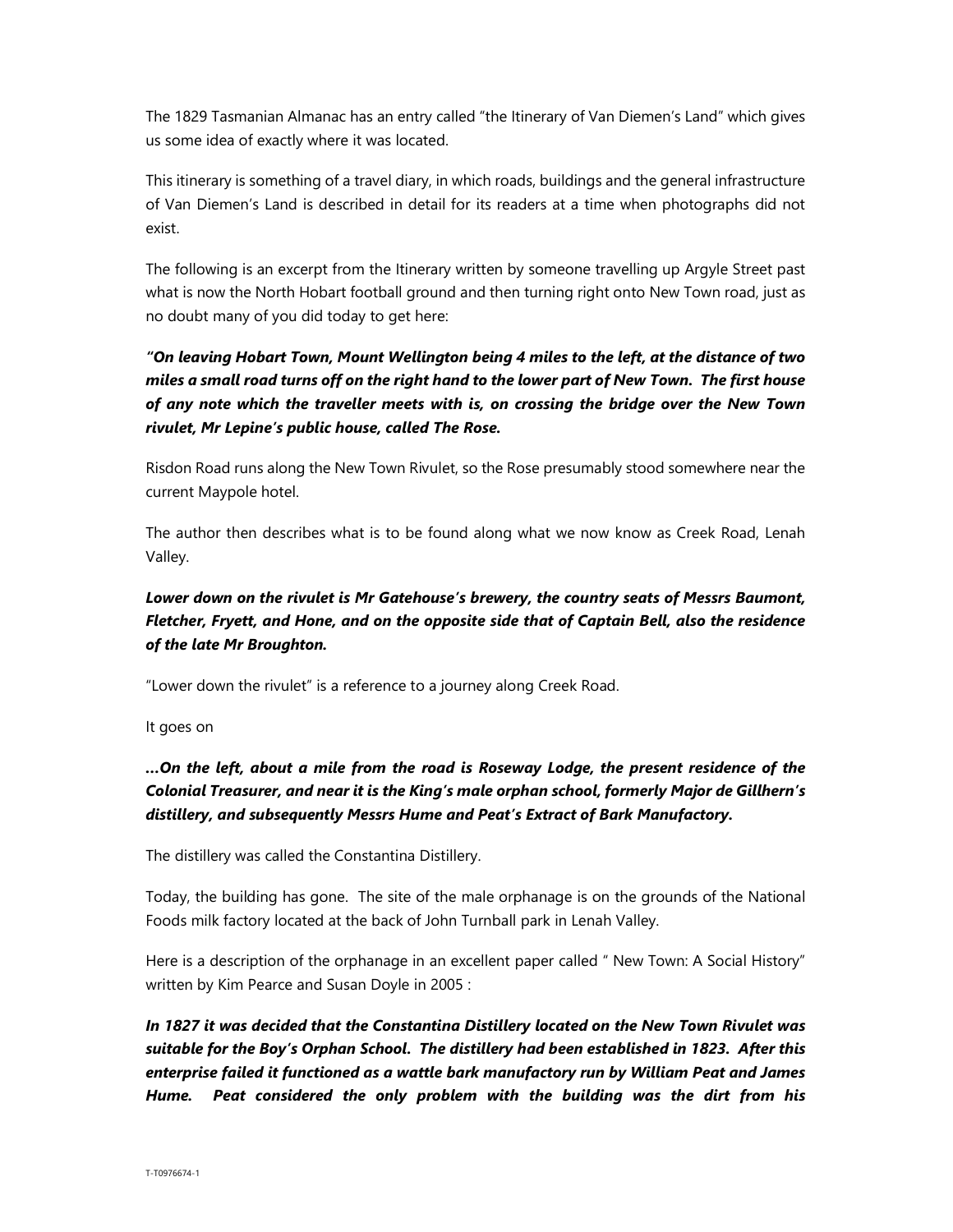The 1829 Tasmanian Almanac has an entry called "the Itinerary of Van Diemen's Land" which gives us some idea of exactly where it was located.

This itinerary is something of a travel diary, in which roads, buildings and the general infrastructure of Van Diemen's Land is described in detail for its readers at a time when photographs did not exist.

The following is an excerpt from the Itinerary written by someone travelling up Argyle Street past what is now the North Hobart football ground and then turning right onto New Town road, just as no doubt many of you did today to get here:

# "On leaving Hobart Town, Mount Wellington being 4 miles to the left, at the distance of two miles a small road turns off on the right hand to the lower part of New Town. The first house of any note which the traveller meets with is, on crossing the bridge over the New Town rivulet, Mr Lepine's public house, called The Rose.

Risdon Road runs along the New Town Rivulet, so the Rose presumably stood somewhere near the current Maypole hotel.

The author then describes what is to be found along what we now know as Creek Road, Lenah Valley.

# Lower down on the rivulet is Mr Gatehouse's brewery, the country seats of Messrs Baumont, Fletcher, Fryett, and Hone, and on the opposite side that of Captain Bell, also the residence of the late Mr Broughton.

"Lower down the rivulet" is a reference to a journey along Creek Road.

It goes on

# …On the left, about a mile from the road is Roseway Lodge, the present residence of the Colonial Treasurer, and near it is the King's male orphan school, formerly Major de Gillhern's distillery, and subsequently Messrs Hume and Peat's Extract of Bark Manufactory.

The distillery was called the Constantina Distillery.

Today, the building has gone. The site of the male orphanage is on the grounds of the National Foods milk factory located at the back of John Turnball park in Lenah Valley.

Here is a description of the orphanage in an excellent paper called " New Town: A Social History" written by Kim Pearce and Susan Doyle in 2005 :

In 1827 it was decided that the Constantina Distillery located on the New Town Rivulet was suitable for the Boy's Orphan School. The distillery had been established in 1823. After this enterprise failed it functioned as a wattle bark manufactory run by William Peat and James Hume. Peat considered the only problem with the building was the dirt from his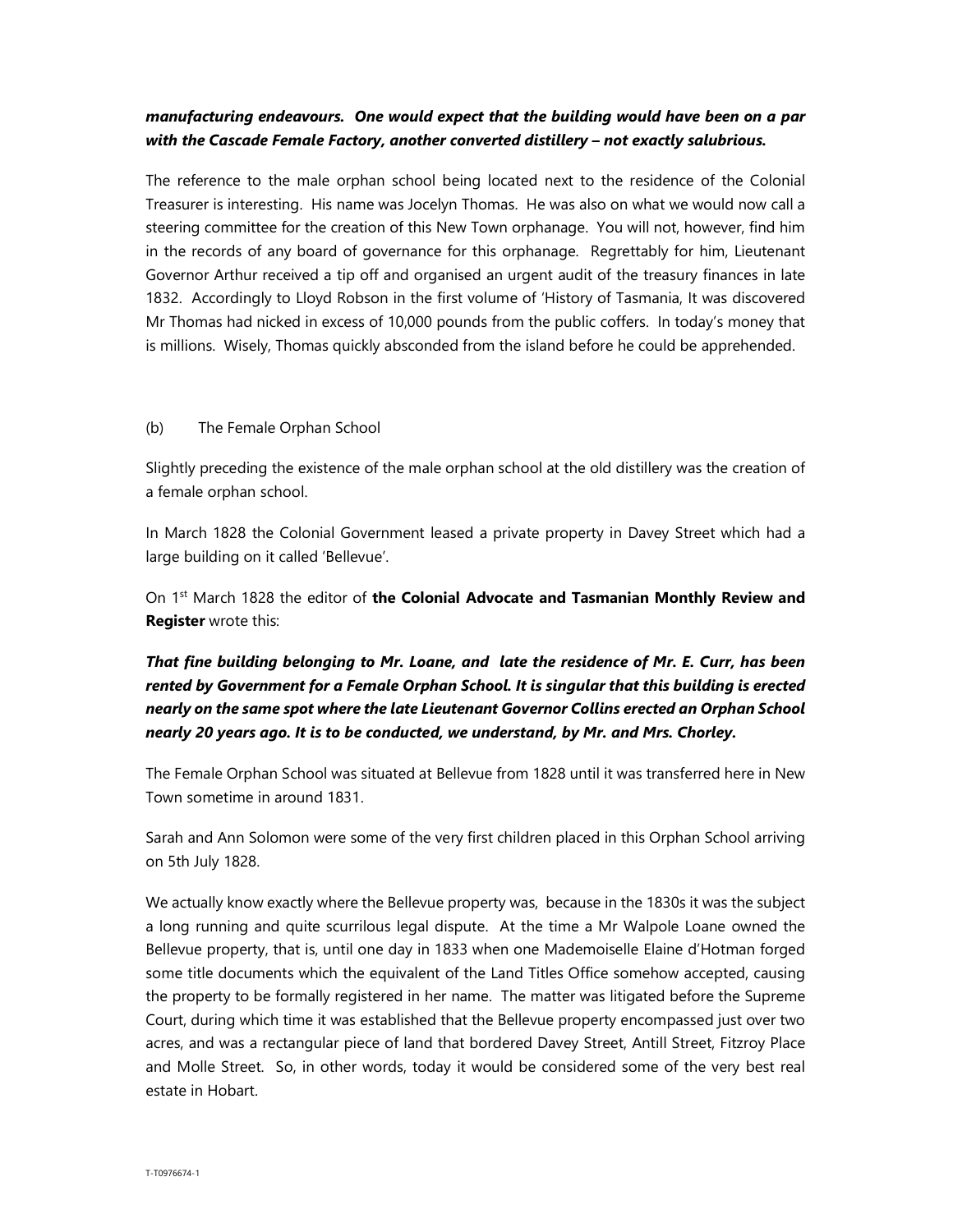## manufacturing endeavours. One would expect that the building would have been on a par with the Cascade Female Factory, another converted distillery – not exactly salubrious.

The reference to the male orphan school being located next to the residence of the Colonial Treasurer is interesting. His name was Jocelyn Thomas. He was also on what we would now call a steering committee for the creation of this New Town orphanage. You will not, however, find him in the records of any board of governance for this orphanage. Regrettably for him, Lieutenant Governor Arthur received a tip off and organised an urgent audit of the treasury finances in late 1832. Accordingly to Lloyd Robson in the first volume of 'History of Tasmania, It was discovered Mr Thomas had nicked in excess of 10,000 pounds from the public coffers. In today's money that is millions. Wisely, Thomas quickly absconded from the island before he could be apprehended.

### (b) The Female Orphan School

Slightly preceding the existence of the male orphan school at the old distillery was the creation of a female orphan school.

In March 1828 the Colonial Government leased a private property in Davey Street which had a large building on it called 'Bellevue'.

On  $1<sup>st</sup>$  March 1828 the editor of the Colonial Advocate and Tasmanian Monthly Review and Register wrote this:

That fine building belonging to Mr. Loane, and late the residence of Mr. E. Curr, has been rented by Government for a Female Orphan School. It is singular that this building is erected nearly on the same spot where the late Lieutenant Governor Collins erected an Orphan School nearly 20 years ago. It is to be conducted, we understand, by Mr. and Mrs. Chorley.

The Female Orphan School was situated at Bellevue from 1828 until it was transferred here in New Town sometime in around 1831.

Sarah and Ann Solomon were some of the very first children placed in this Orphan School arriving on 5th July 1828.

We actually know exactly where the Bellevue property was, because in the 1830s it was the subject a long running and quite scurrilous legal dispute. At the time a Mr Walpole Loane owned the Bellevue property, that is, until one day in 1833 when one Mademoiselle Elaine d'Hotman forged some title documents which the equivalent of the Land Titles Office somehow accepted, causing the property to be formally registered in her name. The matter was litigated before the Supreme Court, during which time it was established that the Bellevue property encompassed just over two acres, and was a rectangular piece of land that bordered Davey Street, Antill Street, Fitzroy Place and Molle Street. So, in other words, today it would be considered some of the very best real estate in Hobart.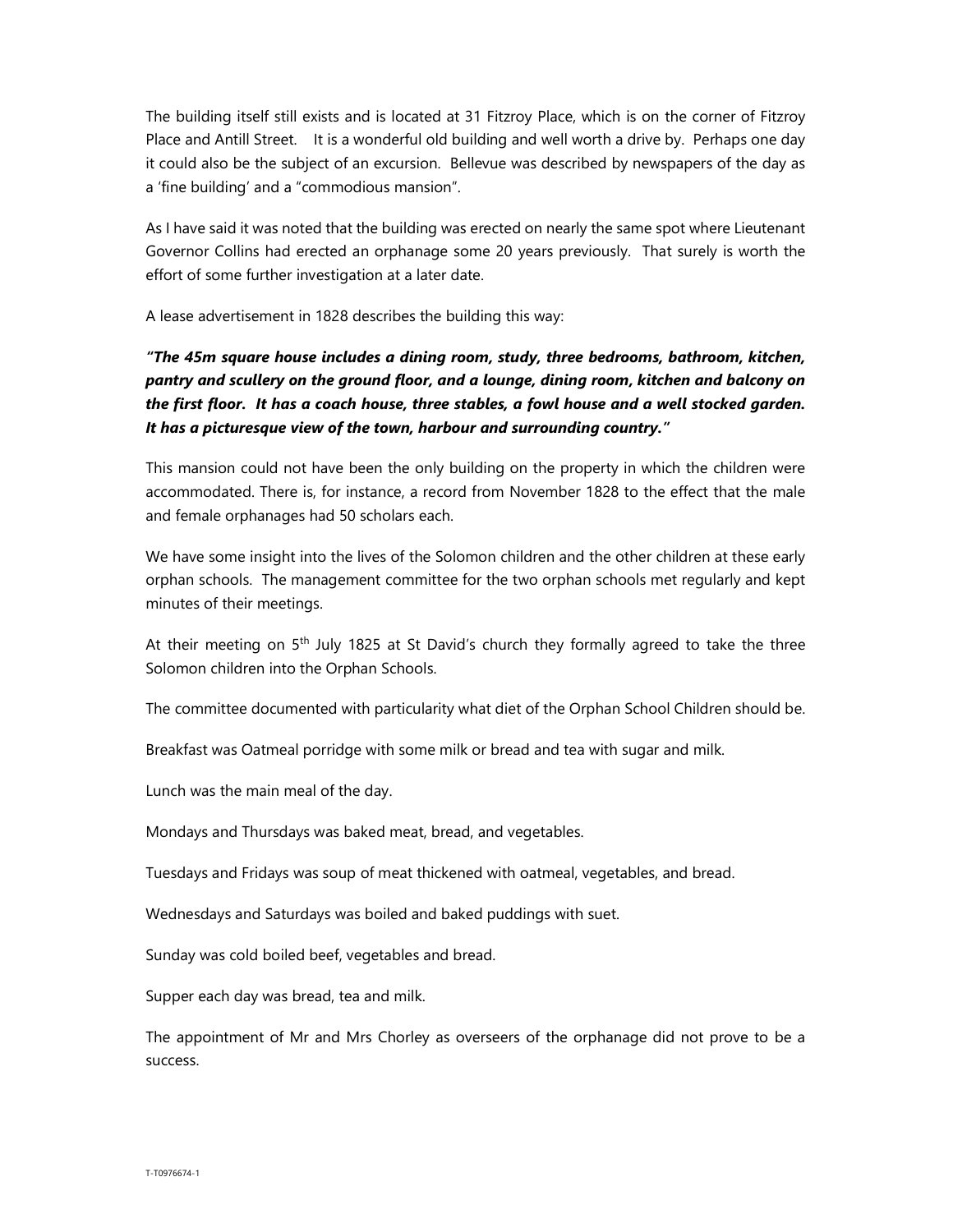The building itself still exists and is located at 31 Fitzroy Place, which is on the corner of Fitzroy Place and Antill Street. It is a wonderful old building and well worth a drive by. Perhaps one day it could also be the subject of an excursion. Bellevue was described by newspapers of the day as a 'fine building' and a "commodious mansion".

As I have said it was noted that the building was erected on nearly the same spot where Lieutenant Governor Collins had erected an orphanage some 20 years previously. That surely is worth the effort of some further investigation at a later date.

A lease advertisement in 1828 describes the building this way:

# "The 45m square house includes a dining room, study, three bedrooms, bathroom, kitchen, pantry and scullery on the ground floor, and a lounge, dining room, kitchen and balcony on the first floor. It has a coach house, three stables, a fowl house and a well stocked garden. It has a picturesque view of the town, harbour and surrounding country."

This mansion could not have been the only building on the property in which the children were accommodated. There is, for instance, a record from November 1828 to the effect that the male and female orphanages had 50 scholars each.

We have some insight into the lives of the Solomon children and the other children at these early orphan schools. The management committee for the two orphan schools met regularly and kept minutes of their meetings.

At their meeting on 5<sup>th</sup> July 1825 at St David's church they formally agreed to take the three Solomon children into the Orphan Schools.

The committee documented with particularity what diet of the Orphan School Children should be.

Breakfast was Oatmeal porridge with some milk or bread and tea with sugar and milk.

Lunch was the main meal of the day.

Mondays and Thursdays was baked meat, bread, and vegetables.

Tuesdays and Fridays was soup of meat thickened with oatmeal, vegetables, and bread.

Wednesdays and Saturdays was boiled and baked puddings with suet.

Sunday was cold boiled beef, vegetables and bread.

Supper each day was bread, tea and milk.

The appointment of Mr and Mrs Chorley as overseers of the orphanage did not prove to be a success.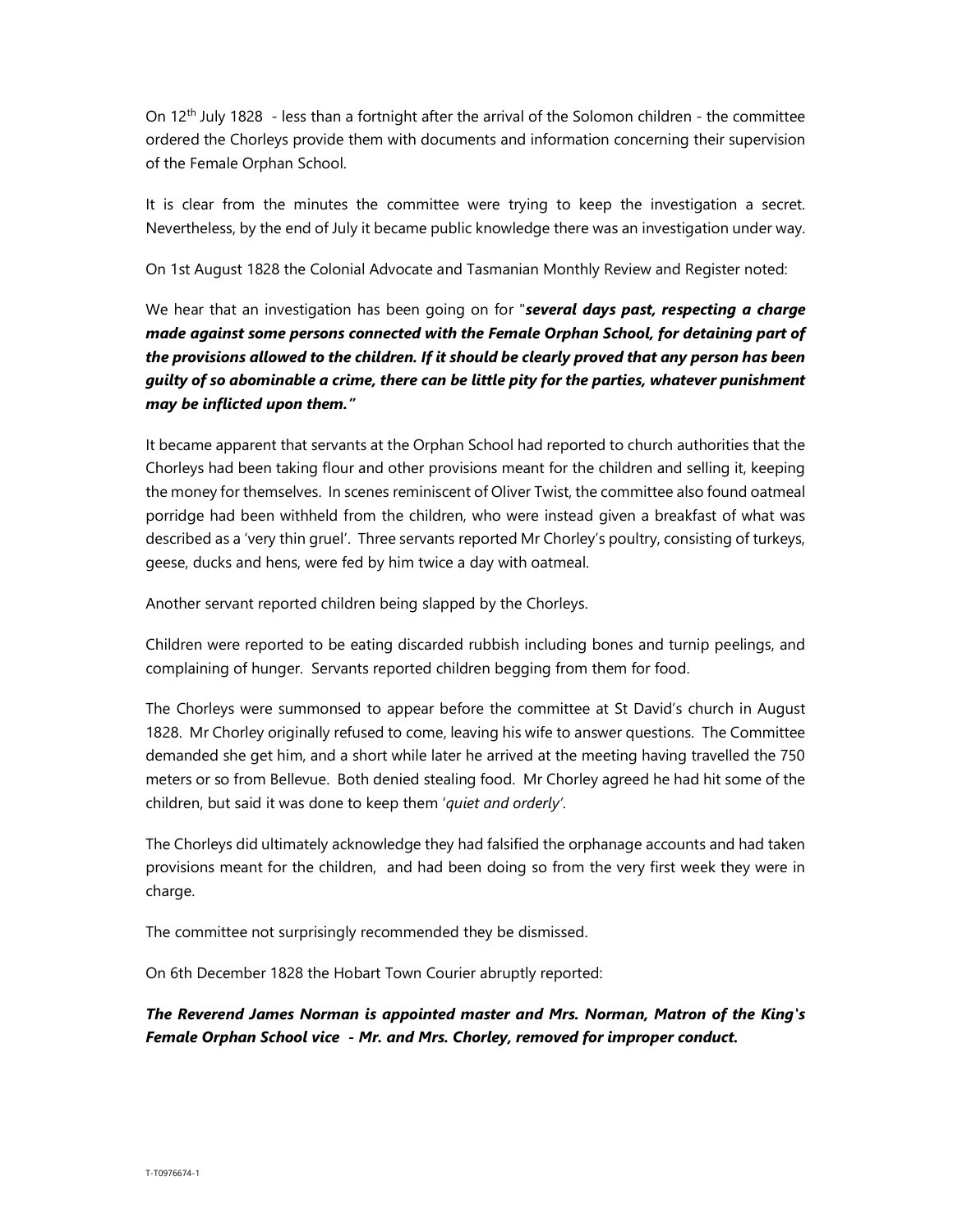On  $12<sup>th</sup>$  July 1828 - less than a fortnight after the arrival of the Solomon children - the committee ordered the Chorleys provide them with documents and information concerning their supervision of the Female Orphan School.

It is clear from the minutes the committee were trying to keep the investigation a secret. Nevertheless, by the end of July it became public knowledge there was an investigation under way.

On 1st August 1828 the Colonial Advocate and Tasmanian Monthly Review and Register noted:

We hear that an investigation has been going on for "several days past, respecting a charge made against some persons connected with the Female Orphan School, for detaining part of the provisions allowed to the children. If it should be clearly proved that any person has been guilty of so abominable a crime, there can be little pity for the parties, whatever punishment may be inflicted upon them."

It became apparent that servants at the Orphan School had reported to church authorities that the Chorleys had been taking flour and other provisions meant for the children and selling it, keeping the money for themselves. In scenes reminiscent of Oliver Twist, the committee also found oatmeal porridge had been withheld from the children, who were instead given a breakfast of what was described as a 'very thin gruel'. Three servants reported Mr Chorley's poultry, consisting of turkeys, geese, ducks and hens, were fed by him twice a day with oatmeal.

Another servant reported children being slapped by the Chorleys.

Children were reported to be eating discarded rubbish including bones and turnip peelings, and complaining of hunger. Servants reported children begging from them for food.

The Chorleys were summonsed to appear before the committee at St David's church in August 1828. Mr Chorley originally refused to come, leaving his wife to answer questions. The Committee demanded she get him, and a short while later he arrived at the meeting having travelled the 750 meters or so from Bellevue. Both denied stealing food. Mr Chorley agreed he had hit some of the children, but said it was done to keep them 'quiet and orderly'.

The Chorleys did ultimately acknowledge they had falsified the orphanage accounts and had taken provisions meant for the children, and had been doing so from the very first week they were in charge.

The committee not surprisingly recommended they be dismissed.

On 6th December 1828 the Hobart Town Courier abruptly reported:

The Reverend James Norman is appointed master and Mrs. Norman, Matron of the King's Female Orphan School vice - Mr. and Mrs. Chorley, removed for improper conduct.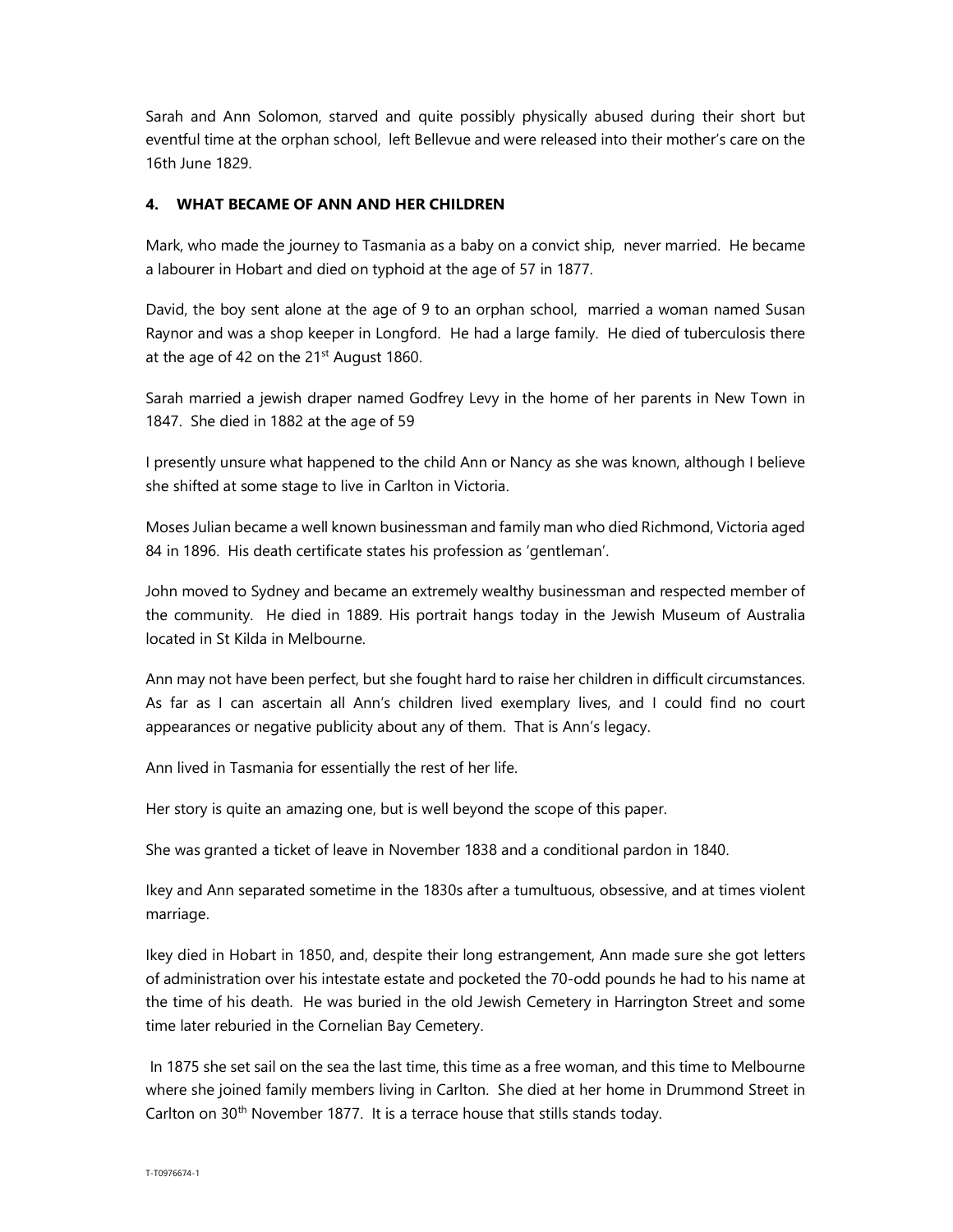Sarah and Ann Solomon, starved and quite possibly physically abused during their short but eventful time at the orphan school, left Bellevue and were released into their mother's care on the 16th June 1829.

## 4. WHAT BECAME OF ANN AND HER CHILDREN

Mark, who made the journey to Tasmania as a baby on a convict ship, never married. He became a labourer in Hobart and died on typhoid at the age of 57 in 1877.

David, the boy sent alone at the age of 9 to an orphan school, married a woman named Susan Raynor and was a shop keeper in Longford. He had a large family. He died of tuberculosis there at the age of 42 on the  $21<sup>st</sup>$  August 1860.

Sarah married a jewish draper named Godfrey Levy in the home of her parents in New Town in 1847. She died in 1882 at the age of 59

I presently unsure what happened to the child Ann or Nancy as she was known, although I believe she shifted at some stage to live in Carlton in Victoria.

Moses Julian became a well known businessman and family man who died Richmond, Victoria aged 84 in 1896. His death certificate states his profession as 'gentleman'.

John moved to Sydney and became an extremely wealthy businessman and respected member of the community. He died in 1889. His portrait hangs today in the Jewish Museum of Australia located in St Kilda in Melbourne.

Ann may not have been perfect, but she fought hard to raise her children in difficult circumstances. As far as I can ascertain all Ann's children lived exemplary lives, and I could find no court appearances or negative publicity about any of them. That is Ann's legacy.

Ann lived in Tasmania for essentially the rest of her life.

Her story is quite an amazing one, but is well beyond the scope of this paper.

She was granted a ticket of leave in November 1838 and a conditional pardon in 1840.

Ikey and Ann separated sometime in the 1830s after a tumultuous, obsessive, and at times violent marriage.

Ikey died in Hobart in 1850, and, despite their long estrangement, Ann made sure she got letters of administration over his intestate estate and pocketed the 70-odd pounds he had to his name at the time of his death. He was buried in the old Jewish Cemetery in Harrington Street and some time later reburied in the Cornelian Bay Cemetery.

 In 1875 she set sail on the sea the last time, this time as a free woman, and this time to Melbourne where she joined family members living in Carlton. She died at her home in Drummond Street in Carlton on 30<sup>th</sup> November 1877. It is a terrace house that stills stands today.